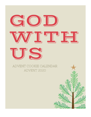## GOD **/ ̄▁▏▔▁▕▁▏▁▛▘▘▛** FS,

## ADVENT COOKIE CALENDAR ADVENT 2020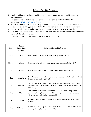## *Advent Cookie Calendar*

- 1. Purchase either pre-packaged cookie dough or make your own. Sugar cookie dough is recommended.
- 2. Use cookie cutters that would enable you to share a biblical truth about Christmas. Suggestions: [18 piece Wilton at](https://www.target.com/p/wilton-18pc-holiday-metal-cookie-cutter-set/-/A-79812874?ref=tgt_adv_XS000000&AFID=google_pla_df&fndsrc=tgtao&DFA=71700000012732784&CPNG=PLA_Kitchen%2BShopping_Local&adgroup=SC_Kitchen&LID=700000001170770pgs&LNM=PRODUCT_GROUP&network=g&device=c&location=9026941&targetid=pla-995615408366&ds_rl=1246978&ds_rl=1247068&ds_rl=1248099&gclid=CjwKCAiA2O39BRBjEiwApB2Ikj3rmwRrJsWnSx1J-a2wnGUSuPPjkiDKd8IBndE7kPlu4_H3QfdUSBoCIFIQAvD_BwE&gclsrc=aw.ds) Target
- 3. Place each cookie in a small plastic bag, print off or write in an explanation and verse (see below) and place in bag, and tie it shut with a four-inch strand of slim red ribbon or yarn.
- 4. Place the cookie bags in a Christmas basket or put them in a place to access easily.
- 5. Each day in Advent open the designated cookie, read how the cookie shape relates to Advent along with Scripture reference.
- 6. On Christmas Day, enjoy the big cookie with the whole family!

| <b>Date</b> | <b>Cookie</b><br><b>Cutter Shape</b><br>or Pattern | <b>Scripture Idea and Reference</b>                                                                                                                                                          |
|-------------|----------------------------------------------------|----------------------------------------------------------------------------------------------------------------------------------------------------------------------------------------------|
| 29-Nov      | Star                                               | The star led the wisemen to baby Jesus. (Matthew 2:1-2)                                                                                                                                      |
| 30-Nov      | Sheep                                              | Sheep were likely in the stable where Jesus was born. (Luke 2:6-7)                                                                                                                           |
| 1-Dec       | Wreath                                             | The circle represents God's unending love for us. (Romans 5:8)                                                                                                                               |
| 2-Dec       | Candy Cane                                         | Turn it upside down and it is a shepherd's crook or staff. Jesus is the Great<br>Shepherd. (John 10:11, 14-15)                                                                               |
| 3-Dec       | Snowflake                                          | Each snowflake is unique, no two are alike. God makes each person the<br>same way -- no two people are alike -- and God loves us just as much! (Ps.<br>$139:13-14)$                          |
| 4-Dec       | Mitten                                             | God has the whole world $-$ you and me $-$ in His hands! God gives us<br>eternal life through Jesus and nothing can separate us or take us out of<br>His hands. (John 10:28; Romans 8:38-39) |
| 5-Dec       | Angel                                              | An angel visited Mary and Joseph to tell them about Jesus' birth. (Luke<br>$1:26-38$                                                                                                         |
| 6-Dec       | Gift/Present                                       | Jesus is the gift God gives to the world. He shows His great love for us by<br>sending His only Son, Jesus. (John 3:16)                                                                      |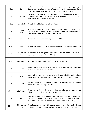| 7-Dec  | Bell                     | Bells, when rung, tell us someone is coming or something is happening.<br>God sent the prophets in the Old Testament that Someone was coming to<br>rescue the world from sin and sorrow $-$ it was Jesus! (Isa. 9:6)     |
|--------|--------------------------|--------------------------------------------------------------------------------------------------------------------------------------------------------------------------------------------------------------------------|
| 8-Dec  | Ornament                 | Ornaments make a tree look lovely and pretty. The Bible tells us Jesus<br>was not a pretty man, and he was despised. Jesus endured suffering and<br>pain, so He could rescue us! (Isa. 53)                               |
| 9-Dec  | Light Bulb               | Jesus is the light of the world! (John 8:12)                                                                                                                                                                             |
| 10-Dec | Christmas<br><b>Tree</b> | Trees can remind us of the wood that made the manger Jesus slept in or<br>the stable that was over his head. And the Cross on which Jesus died to<br>show us how much God loved us. (John 3:16)                          |
| 11-Dec | Star                     | Jesus is the Bright and Morning Star. (Rev. 22:16)                                                                                                                                                                       |
| 12-Dec | Sheep                    | Jesus is the Lamb of God who takes away the sin of the world. (John 1:29)                                                                                                                                                |
| 13-Dec | Gingerbread<br>Man       | Jesus came to save all people from their sins! But to do that, He had to<br>become a human too! (John 1:11-16)                                                                                                           |
| 14-Dec | Candy Cane               | Turn it upside down and it is a "J" for Jesus. (Matthew 1:21)                                                                                                                                                            |
| 15-Dec | Snowflake                | Snow is white! Because of Jesus our sins will be removed and we become<br>pure as the driven snow! (Isa. 1:18)                                                                                                           |
| 16-Dec | Mitten                   | God made everything in the world. All of Creation glorifies God! In Christ<br>all things are being reconciled, or made right, with God. (Col. 1:15-22)                                                                   |
| 17-Dec | Angel                    | An angel came to the shepherds keeping their flocks by night to tell them<br>about the newborn King. (Luke 2:8-20)                                                                                                       |
| 18-Dec | Gift/Present             | Jesus was promised Savior (gift) from long ago who was going to redeem<br>all the things sin, death, and Satan ruined. (Gen. 3:15)                                                                                       |
| 19-Dec | Bell                     | Bells, when rung, tell us someone is coming, or something is happening.<br>God sent the prophets in the Old Testament that Someone was coming to<br>rescue the world from sin and sorrow $-$ it was Jesus! (Isa. 11:1-5) |
| 20-Dec | Gingerbread<br>Man       | Jesus became a human just like you and me, he had skin, blood, hair, eyes<br>and more! He had emotions too! But He was without sin. (1 John 4:2)                                                                         |